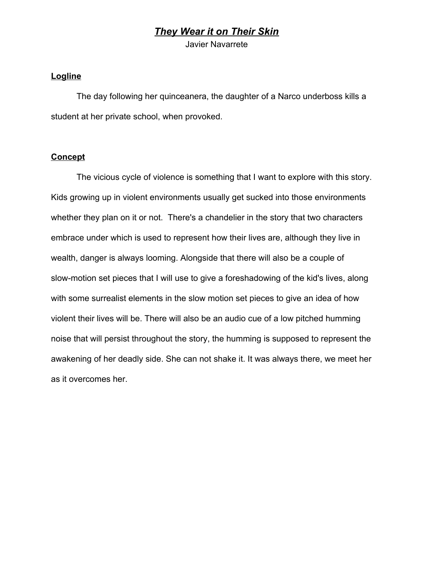# *They Wear it on Their Skin*

Javier Navarrete

#### **Logline**

The day following her quinceanera, the daughter of a Narco underboss kills a student at her private school, when provoked.

### **Concept**

The vicious cycle of violence is something that I want to explore with this story. Kids growing up in violent environments usually get sucked into those environments whether they plan on it or not. There's a chandelier in the story that two characters embrace under which is used to represent how their lives are, although they live in wealth, danger is always looming. Alongside that there will also be a couple of slow-motion set pieces that I will use to give a foreshadowing of the kid's lives, along with some surrealist elements in the slow motion set pieces to give an idea of how violent their lives will be. There will also be an audio cue of a low pitched humming noise that will persist throughout the story, the humming is supposed to represent the awakening of her deadly side. She can not shake it. It was always there, we meet her as it overcomes her.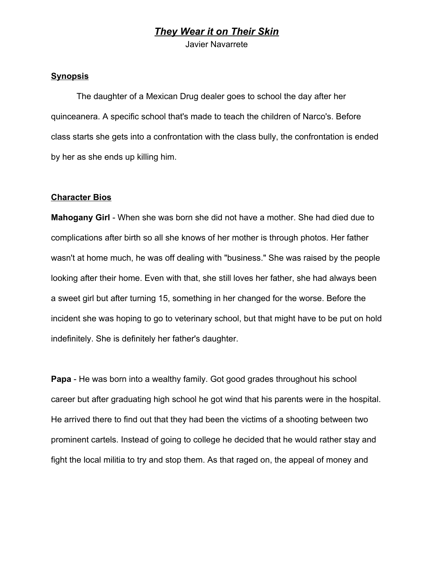# *They Wear it on Their Skin*

Javier Navarrete

### **Synopsis**

The daughter of a Mexican Drug dealer goes to school the day after her quinceanera. A specific school that's made to teach the children of Narco's. Before class starts she gets into a confrontation with the class bully, the confrontation is ended by her as she ends up killing him.

#### **Character Bios**

**Mahogany Girl** - When she was born she did not have a mother. She had died due to complications after birth so all she knows of her mother is through photos. Her father wasn't at home much, he was off dealing with "business." She was raised by the people looking after their home. Even with that, she still loves her father, she had always been a sweet girl but after turning 15, something in her changed for the worse. Before the incident she was hoping to go to veterinary school, but that might have to be put on hold indefinitely. She is definitely her father's daughter.

**Papa** - He was born into a wealthy family. Got good grades throughout his school career but after graduating high school he got wind that his parents were in the hospital. He arrived there to find out that they had been the victims of a shooting between two prominent cartels. Instead of going to college he decided that he would rather stay and fight the local militia to try and stop them. As that raged on, the appeal of money and